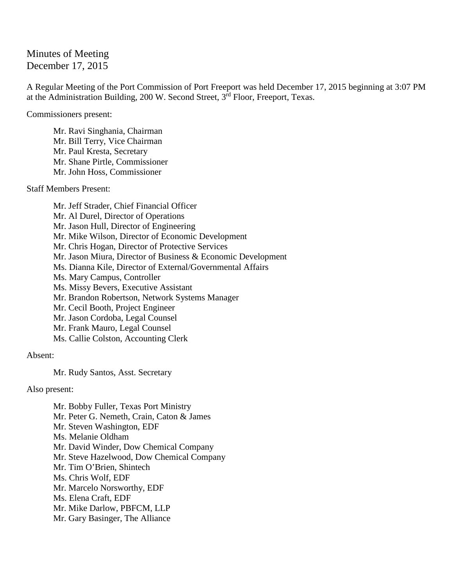# Minutes of Meeting December 17, 2015

A Regular Meeting of the Port Commission of Port Freeport was held December 17, 2015 beginning at 3:07 PM at the Administration Building, 200 W. Second Street, 3rd Floor, Freeport, Texas.

Commissioners present:

Mr. Ravi Singhania, Chairman Mr. Bill Terry, Vice Chairman Mr. Paul Kresta, Secretary Mr. Shane Pirtle, Commissioner Mr. John Hoss, Commissioner

Staff Members Present:

Mr. Jeff Strader, Chief Financial Officer Mr. Al Durel, Director of Operations Mr. Jason Hull, Director of Engineering Mr. Mike Wilson, Director of Economic Development Mr. Chris Hogan, Director of Protective Services Mr. Jason Miura, Director of Business & Economic Development Ms. Dianna Kile, Director of External/Governmental Affairs Ms. Mary Campus, Controller Ms. Missy Bevers, Executive Assistant Mr. Brandon Robertson, Network Systems Manager Mr. Cecil Booth, Project Engineer Mr. Jason Cordoba, Legal Counsel Mr. Frank Mauro, Legal Counsel Ms. Callie Colston, Accounting Clerk

Absent:

Mr. Rudy Santos, Asst. Secretary

Also present:

Mr. Bobby Fuller, Texas Port Ministry Mr. Peter G. Nemeth, Crain, Caton & James Mr. Steven Washington, EDF Ms. Melanie Oldham Mr. David Winder, Dow Chemical Company Mr. Steve Hazelwood, Dow Chemical Company Mr. Tim O'Brien, Shintech Ms. Chris Wolf, EDF Mr. Marcelo Norsworthy, EDF Ms. Elena Craft, EDF Mr. Mike Darlow, PBFCM, LLP Mr. Gary Basinger, The Alliance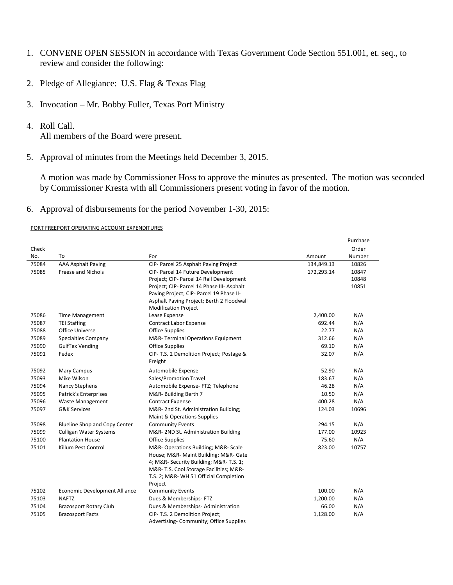- 1. CONVENE OPEN SESSION in accordance with Texas Government Code Section 551.001, et. seq., to review and consider the following:
- 2. Pledge of Allegiance: U.S. Flag & Texas Flag
- 3. Invocation Mr. Bobby Fuller, Texas Port Ministry
- 4. Roll Call.

All members of the Board were present.

5. Approval of minutes from the Meetings held December 3, 2015.

A motion was made by Commissioner Hoss to approve the minutes as presented. The motion was seconded by Commissioner Kresta with all Commissioners present voting in favor of the motion.

6. Approval of disbursements for the period November 1-30, 2015:

### PORT FREEPORT OPERATING ACCOUNT EXPENDITURES

|       |                                      |                                            |            | Purchase |
|-------|--------------------------------------|--------------------------------------------|------------|----------|
| Check |                                      |                                            |            | Order    |
| No.   | To                                   | For                                        | Amount     | Number   |
| 75084 | <b>AAA Asphalt Paving</b>            | CIP- Parcel 25 Asphalt Paving Project      | 134,849.13 | 10826    |
| 75085 | <b>Freese and Nichols</b>            | CIP- Parcel 14 Future Development          | 172,293.14 | 10847    |
|       |                                      | Project; CIP- Parcel 14 Rail Development   |            | 10848    |
|       |                                      | Project; CIP- Parcel 14 Phase III- Asphalt |            | 10851    |
|       |                                      | Paving Project; CIP- Parcel 19 Phase II-   |            |          |
|       |                                      | Asphalt Paving Project; Berth 2 Floodwall  |            |          |
|       |                                      | <b>Modification Project</b>                |            |          |
| 75086 | <b>Time Management</b>               | Lease Expense                              | 2,400.00   | N/A      |
| 75087 | <b>TEI Staffing</b>                  | <b>Contract Labor Expense</b>              | 692.44     | N/A      |
| 75088 | Office Universe                      | <b>Office Supplies</b>                     | 22.77      | N/A      |
| 75089 | <b>Specialties Company</b>           | M&R-Terminal Operations Equipment          | 312.66     | N/A      |
| 75090 | <b>GulfTex Vending</b>               | <b>Office Supplies</b>                     | 69.10      | N/A      |
| 75091 | Fedex                                | CIP- T.S. 2 Demolition Project; Postage &  | 32.07      | N/A      |
|       |                                      | Freight                                    |            |          |
| 75092 | Mary Campus                          | Automobile Expense                         | 52.90      | N/A      |
| 75093 | Mike Wilson                          | Sales/Promotion Travel                     | 183.67     | N/A      |
| 75094 | Nancy Stephens                       | Automobile Expense- FTZ; Telephone         | 46.28      | N/A      |
| 75095 | Patrick's Enterprises                | M&R-Building Berth 7                       | 10.50      | N/A      |
| 75096 | <b>Waste Management</b>              | <b>Contract Expense</b>                    | 400.28     | N/A      |
| 75097 | <b>G&amp;K Services</b>              | M&R-2nd St. Administration Building;       | 124.03     | 10696    |
|       |                                      | Maint & Operations Supplies                |            |          |
| 75098 | <b>Blueline Shop and Copy Center</b> | <b>Community Events</b>                    | 294.15     | N/A      |
| 75099 | <b>Culligan Water Systems</b>        | M&R-2ND St. Administration Building        | 177.00     | 10923    |
| 75100 | <b>Plantation House</b>              | <b>Office Supplies</b>                     | 75.60      | N/A      |
| 75101 | Killum Pest Control                  | M&R- Operations Building; M&R- Scale       | 823.00     | 10757    |
|       |                                      | House; M&R- Maint Building; M&R- Gate      |            |          |
|       |                                      | 4; M&R- Security Building; M&R-T.S. 1;     |            |          |
|       |                                      | M&R- T.S. Cool Storage Facilities; M&R-    |            |          |
|       |                                      | T.S. 2; M&R-WH 51 Official Completion      |            |          |
|       |                                      | Project                                    |            |          |
| 75102 | Economic Development Alliance        | <b>Community Events</b>                    | 100.00     | N/A      |
| 75103 | <b>NAFTZ</b>                         | Dues & Memberships- FTZ                    | 1,200.00   | N/A      |
| 75104 | <b>Brazosport Rotary Club</b>        | Dues & Memberships-Administration          | 66.00      | N/A      |
| 75105 | <b>Brazosport Facts</b>              | CIP- T.S. 2 Demolition Project;            | 1,128.00   | N/A      |
|       |                                      | Advertising- Community; Office Supplies    |            |          |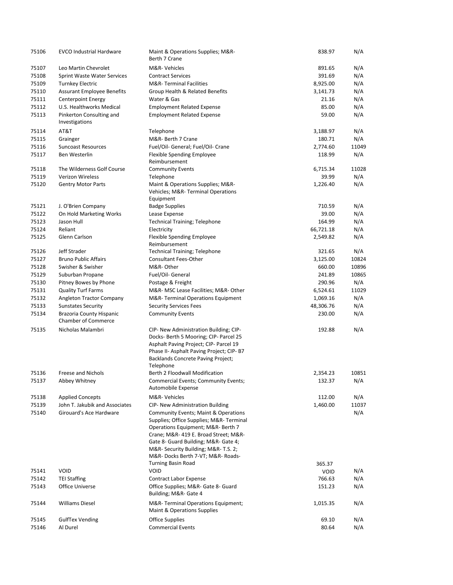| 75106 | <b>EVCO Industrial Hardware</b>                        | Maint & Operations Supplies; M&R-<br>Berth 7 Crane                                                                                                                                                                                                                                              | 838.97      | N/A   |
|-------|--------------------------------------------------------|-------------------------------------------------------------------------------------------------------------------------------------------------------------------------------------------------------------------------------------------------------------------------------------------------|-------------|-------|
| 75107 | Leo Martin Chevrolet                                   | M&R-Vehicles                                                                                                                                                                                                                                                                                    | 891.65      | N/A   |
| 75108 | Sprint Waste Water Services                            | <b>Contract Services</b>                                                                                                                                                                                                                                                                        | 391.69      | N/A   |
| 75109 | <b>Turnkey Electric</b>                                | <b>M&amp;R-Terminal Facilities</b>                                                                                                                                                                                                                                                              | 8,925.00    | N/A   |
| 75110 | <b>Assurant Employee Benefits</b>                      | Group Health & Related Benefits                                                                                                                                                                                                                                                                 | 3,141.73    | N/A   |
| 75111 | <b>Centerpoint Energy</b>                              | Water & Gas                                                                                                                                                                                                                                                                                     | 21.16       | N/A   |
| 75112 | U.S. Healthworks Medical                               | <b>Employment Related Expense</b>                                                                                                                                                                                                                                                               | 85.00       | N/A   |
| 75113 | Pinkerton Consulting and<br>Investigations             | <b>Employment Related Expense</b>                                                                                                                                                                                                                                                               | 59.00       | N/A   |
| 75114 | AT&T                                                   | Telephone                                                                                                                                                                                                                                                                                       | 3,188.97    | N/A   |
| 75115 | Grainger                                               | M&R- Berth 7 Crane                                                                                                                                                                                                                                                                              | 180.71      | N/A   |
| 75116 | <b>Suncoast Resources</b>                              | Fuel/Oil- General; Fuel/Oil- Crane                                                                                                                                                                                                                                                              | 2,774.60    | 11049 |
| 75117 | Ben Westerlin                                          | Flexible Spending Employee<br>Reimbursement                                                                                                                                                                                                                                                     | 118.99      | N/A   |
| 75118 | The Wilderness Golf Course                             | <b>Community Events</b>                                                                                                                                                                                                                                                                         | 6,715.34    | 11028 |
| 75119 | Verizon Wireless                                       | Telephone                                                                                                                                                                                                                                                                                       | 39.99       | N/A   |
| 75120 | <b>Gentry Motor Parts</b>                              | Maint & Operations Supplies; M&R-<br>Vehicles; M&R-Terminal Operations<br>Equipment                                                                                                                                                                                                             | 1,226.40    | N/A   |
| 75121 | J. O'Brien Company                                     | <b>Badge Supplies</b>                                                                                                                                                                                                                                                                           | 710.59      | N/A   |
| 75122 | On Hold Marketing Works                                | Lease Expense                                                                                                                                                                                                                                                                                   | 39.00       | N/A   |
| 75123 | Jason Hull                                             | <b>Technical Training; Telephone</b>                                                                                                                                                                                                                                                            | 164.99      | N/A   |
| 75124 | Reliant                                                | Electricity                                                                                                                                                                                                                                                                                     | 66,721.18   | N/A   |
| 75125 | Glenn Carlson                                          | Flexible Spending Employee<br>Reimbursement                                                                                                                                                                                                                                                     | 2,549.82    | N/A   |
| 75126 | Jeff Strader                                           | <b>Technical Training; Telephone</b>                                                                                                                                                                                                                                                            | 321.65      | N/A   |
| 75127 | <b>Bruno Public Affairs</b>                            | <b>Consultant Fees-Other</b>                                                                                                                                                                                                                                                                    | 3,125.00    | 10824 |
| 75128 | Swisher & Swisher                                      | M&R-Other                                                                                                                                                                                                                                                                                       | 660.00      | 10896 |
| 75129 | Suburban Propane                                       | Fuel/Oil- General                                                                                                                                                                                                                                                                               | 241.89      | 10865 |
| 75130 | Pitney Bowes by Phone                                  | Postage & Freight                                                                                                                                                                                                                                                                               | 290.96      | N/A   |
| 75131 | <b>Quality Turf Farms</b>                              | M&R- MSC Lease Facilities; M&R- Other                                                                                                                                                                                                                                                           | 6,524.61    | 11029 |
| 75132 | Angleton Tractor Company                               | M&R-Terminal Operations Equipment                                                                                                                                                                                                                                                               | 1,069.16    | N/A   |
| 75133 | <b>Sunstates Security</b>                              | <b>Security Services Fees</b>                                                                                                                                                                                                                                                                   | 48,306.76   | N/A   |
| 75134 | Brazoria County Hispanic<br><b>Chamber of Commerce</b> | <b>Community Events</b>                                                                                                                                                                                                                                                                         | 230.00      | N/A   |
| 75135 | Nicholas Malambri                                      | CIP- New Administration Building; CIP-<br>Docks- Berth 5 Mooring; CIP- Parcel 25<br>Asphalt Paving Project; CIP- Parcel 19<br>Phase II- Asphalt Paving Project; CIP-B7<br>Backlands Concrete Paving Project;<br>Telephone                                                                       | 192.88      | N/A   |
| 75136 | Freese and Nichols                                     | Berth 2 Floodwall Modification                                                                                                                                                                                                                                                                  | 2,354.23    | 10851 |
| 75137 | Abbey Whitney                                          | Commercial Events; Community Events;<br>Automobile Expense                                                                                                                                                                                                                                      | 132.37      | N/A   |
| 75138 | <b>Applied Concepts</b>                                | M&R-Vehicles                                                                                                                                                                                                                                                                                    | 112.00      | N/A   |
| 75139 | John T. Jakubik and Associates                         | CIP- New Administration Building                                                                                                                                                                                                                                                                | 1,460.00    | 11037 |
| 75140 | Girouard's Ace Hardware                                | <b>Community Events; Maint &amp; Operations</b><br>Supplies; Office Supplies; M&R-Terminal<br>Operations Equipment; M&R- Berth 7<br>Crane; M&R- 419 E. Broad Street; M&R-<br>Gate 8- Guard Building; M&R- Gate 4;<br>M&R- Security Building; M&R- T.S. 2;<br>M&R- Docks Berth 7-VT; M&R- Roads- |             | N/A   |
|       |                                                        | <b>Turning Basin Road</b>                                                                                                                                                                                                                                                                       | 365.37      |       |
| 75141 | <b>VOID</b>                                            | <b>VOID</b>                                                                                                                                                                                                                                                                                     | <b>VOID</b> | N/A   |
| 75142 | <b>TEI Staffing</b>                                    | <b>Contract Labor Expense</b>                                                                                                                                                                                                                                                                   | 766.63      | N/A   |
| 75143 | Office Universe                                        | Office Supplies; M&R- Gate 8- Guard<br>Building; M&R- Gate 4                                                                                                                                                                                                                                    | 151.23      | N/A   |
| 75144 | <b>Williams Diesel</b>                                 | M&R-Terminal Operations Equipment;<br>Maint & Operations Supplies                                                                                                                                                                                                                               | 1,015.35    | N/A   |
| 75145 | <b>GulfTex Vending</b>                                 | <b>Office Supplies</b>                                                                                                                                                                                                                                                                          | 69.10       | N/A   |
| 75146 | Al Durel                                               | <b>Commercial Events</b>                                                                                                                                                                                                                                                                        | 80.64       | N/A   |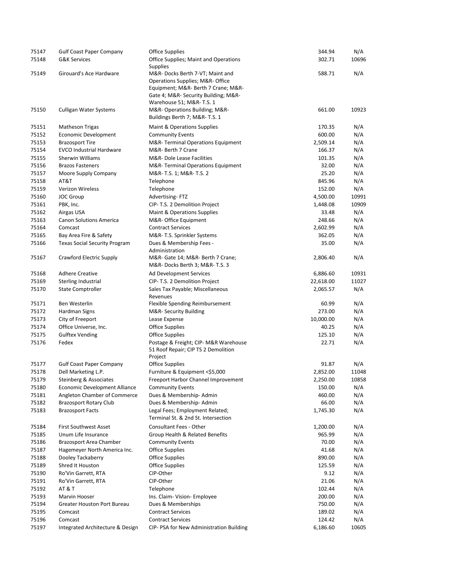| 75147          | <b>Gulf Coast Paper Company</b>      | <b>Office Supplies</b>                                                                                                                                                        | 344.94             | N/A   |
|----------------|--------------------------------------|-------------------------------------------------------------------------------------------------------------------------------------------------------------------------------|--------------------|-------|
| 75148          | <b>G&amp;K Services</b>              | Office Supplies; Maint and Operations<br><b>Supplies</b>                                                                                                                      | 302.71             | 10696 |
| 75149          | Girouard's Ace Hardware              | M&R-Docks Berth 7-VT; Maint and<br>Operations Supplies; M&R-Office<br>Equipment; M&R- Berth 7 Crane; M&R-<br>Gate 4; M&R- Security Building; M&R-<br>Warehouse 51; M&R-T.S. 1 | 588.71             | N/A   |
| 75150          | <b>Culligan Water Systems</b>        | M&R- Operations Building; M&R-<br>Buildings Berth 7; M&R-T.S. 1                                                                                                               | 661.00             | 10923 |
| 75151          | <b>Matheson Trigas</b>               | Maint & Operations Supplies                                                                                                                                                   | 170.35             | N/A   |
| 75152          | Economic Development                 | <b>Community Events</b>                                                                                                                                                       | 600.00             | N/A   |
| 75153          | <b>Brazosport Tire</b>               | M&R-Terminal Operations Equipment                                                                                                                                             | 2,509.14           | N/A   |
| 75154          | <b>EVCO Industrial Hardware</b>      | M&R- Berth 7 Crane                                                                                                                                                            | 166.37             | N/A   |
| 75155          | Sherwin Williams                     | M&R- Dole Lease Facilities                                                                                                                                                    | 101.35             | N/A   |
| 75156          | <b>Brazos Fasteners</b>              | M&R-Terminal Operations Equipment                                                                                                                                             | 32.00              | N/A   |
| 75157          | Moore Supply Company                 | M&R- T.S. 1; M&R- T.S. 2                                                                                                                                                      | 25.20              | N/A   |
| 75158          | AT&T                                 | Telephone                                                                                                                                                                     | 845.96             | N/A   |
| 75159          | Verizon Wireless                     | Telephone                                                                                                                                                                     | 152.00             | N/A   |
| 75160          | <b>JOC Group</b>                     | Advertising-FTZ                                                                                                                                                               | 4,500.00           | 10991 |
| 75161          | PBK, Inc.                            | CIP- T.S. 2 Demolition Project                                                                                                                                                | 1,448.08           | 10909 |
| 75162          | Airgas USA                           | Maint & Operations Supplies                                                                                                                                                   | 33.48              | N/A   |
| 75163          | <b>Canon Solutions America</b>       | M&R- Office Equipment                                                                                                                                                         | 248.66             | N/A   |
| 75164<br>75165 | Comcast                              | <b>Contract Services</b>                                                                                                                                                      | 2,602.99<br>362.05 | N/A   |
| 75166          | Bay Area Fire & Safety               | M&R-T.S. Sprinkler Systems<br>Dues & Membership Fees -                                                                                                                        | 35.00              | N/A   |
|                | <b>Texas Social Security Program</b> | Administration                                                                                                                                                                |                    | N/A   |
| 75167          | Crawford Electric Supply             | M&R- Gate 14; M&R- Berth 7 Crane;<br>M&R-Docks Berth 3; M&R-T.S. 3                                                                                                            | 2,806.40           | N/A   |
| 75168          | <b>Adhere Creative</b>               | Ad Development Services                                                                                                                                                       | 6,886.60           | 10931 |
| 75169          | Sterling Industrial                  | CIP- T.S. 2 Demolition Project                                                                                                                                                | 22,618.00          | 11027 |
| 75170          | <b>State Comptroller</b>             | Sales Tax Payable; Miscellaneous<br>Revenues                                                                                                                                  | 2,065.57           | N/A   |
| 75171          | Ben Westerlin                        | Flexible Spending Reimbursement                                                                                                                                               | 60.99              | N/A   |
| 75172          | Hardman Signs                        | M&R-Security Building                                                                                                                                                         | 273.00             | N/A   |
| 75173          | City of Freeport                     | Lease Expense                                                                                                                                                                 | 10,000.00          | N/A   |
| 75174          | Office Universe, Inc.                | <b>Office Supplies</b>                                                                                                                                                        | 40.25              | N/A   |
| 75175          | <b>Gulftex Vending</b>               | <b>Office Supplies</b>                                                                                                                                                        | 125.10             | N/A   |
| 75176          | Fedex                                | Postage & Freight; CIP- M&R Warehouse<br>51 Roof Repair; CIP TS 2 Demolition<br>Project                                                                                       | 22.71              | N/A   |
| 75177          | <b>Gulf Coast Paper Company</b>      | <b>Office Supplies</b>                                                                                                                                                        | 91.87              | N/A   |
| 75178          | Dell Marketing L.P.                  | Furniture & Equipment <\$5,000                                                                                                                                                | 2,852.00           | 11048 |
| 75179          | Steinberg & Associates               | Freeport Harbor Channel Improvement                                                                                                                                           | 2,250.00           | 10858 |
| 75180          | Economic Development Alliance        | <b>Community Events</b>                                                                                                                                                       | 150.00             | N/A   |
| 75181          | Angleton Chamber of Commerce         | Dues & Membership-Admin                                                                                                                                                       | 460.00             | N/A   |
| 75182          | <b>Brazosport Rotary Club</b>        | Dues & Membership-Admin                                                                                                                                                       | 66.00              | N/A   |
| 75183          | <b>Brazosport Facts</b>              | Legal Fees; Employment Related;<br>Terminal St. & 2nd St. Intersection                                                                                                        | 1,745.30           | N/A   |
| 75184          | <b>First Southwest Asset</b>         | Consultant Fees - Other                                                                                                                                                       | 1,200.00           | N/A   |
| 75185          | Unum Life Insurance                  | Group Health & Related Benefits                                                                                                                                               | 965.99             | N/A   |
| 75186          | Brazosport Area Chamber              | <b>Community Events</b>                                                                                                                                                       | 70.00              | N/A   |
| 75187          | Hagemeyer North America Inc.         | <b>Office Supplies</b>                                                                                                                                                        | 41.68              | N/A   |
| 75188          | Dooley Tackaberry                    | <b>Office Supplies</b>                                                                                                                                                        | 890.00             | N/A   |
| 75189          | Shred It Houston                     | <b>Office Supplies</b>                                                                                                                                                        | 125.59             | N/A   |
| 75190          | Ro'Vin Garrett, RTA                  | CIP-Other                                                                                                                                                                     | 9.12               | N/A   |
| 75191          | Ro'Vin Garrett, RTA                  | CIP-Other                                                                                                                                                                     | 21.06              | N/A   |
| 75192          | <b>AT &amp; T</b>                    | Telephone                                                                                                                                                                     | 102.44             | N/A   |
| 75193          | Marvin Hooser                        | Ins. Claim- Vision- Employee                                                                                                                                                  | 200.00             | N/A   |
| 75194          | <b>Greater Houston Port Bureau</b>   | Dues & Memberships                                                                                                                                                            | 750.00             | N/A   |
| 75195          | Comcast                              | <b>Contract Services</b>                                                                                                                                                      | 189.02             | N/A   |
| 75196          | Comcast                              | <b>Contract Services</b>                                                                                                                                                      | 124.42             | N/A   |
| 75197          | Integrated Architecture & Design     | CIP- PSA for New Administration Building                                                                                                                                      | 6,186.60           | 10605 |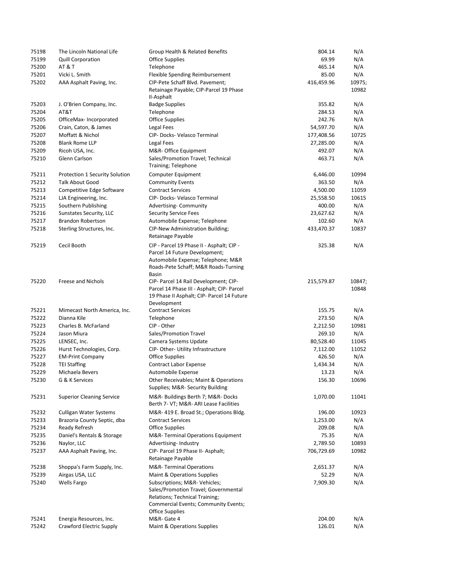| 75198          | The Lincoln National Life                           | Group Health & Related Benefits                                                                                                                                          | 804.14     | N/A             |
|----------------|-----------------------------------------------------|--------------------------------------------------------------------------------------------------------------------------------------------------------------------------|------------|-----------------|
| 75199          | <b>Quill Corporation</b>                            | <b>Office Supplies</b>                                                                                                                                                   | 69.99      | N/A             |
| 75200          | <b>AT &amp; T</b>                                   | Telephone                                                                                                                                                                | 465.14     | N/A             |
| 75201          | Vicki L. Smith                                      | Flexible Spending Reimbursement                                                                                                                                          | 85.00      | N/A             |
| 75202          | AAA Asphalt Paving, Inc.                            | CIP-Pete Schaff Blvd. Pavement;                                                                                                                                          | 416,459.96 | 10975;          |
|                |                                                     | Retainage Payable; CIP-Parcel 19 Phase<br>II-Asphalt                                                                                                                     |            | 10982           |
| 75203          | J. O'Brien Company, Inc.                            | <b>Badge Supplies</b>                                                                                                                                                    | 355.82     | N/A             |
| 75204          | AT&T                                                | Telephone                                                                                                                                                                | 284.53     | N/A             |
| 75205          | OfficeMax-Incorporated                              | <b>Office Supplies</b>                                                                                                                                                   | 242.76     | N/A             |
| 75206          | Crain, Caton, & James                               | Legal Fees                                                                                                                                                               | 54,597.70  | N/A             |
| 75207          | Moffatt & Nichol                                    | CIP- Docks- Velasco Terminal                                                                                                                                             | 177,408.56 | 10725           |
| 75208          | <b>Blank Rome LLP</b>                               | Legal Fees                                                                                                                                                               | 27,285.00  | N/A             |
| 75209          | Ricoh USA, Inc.                                     | M&R- Office Equipment                                                                                                                                                    | 492.07     | N/A             |
| 75210          | Glenn Carlson                                       | Sales/Promotion Travel; Technical<br>Training; Telephone                                                                                                                 | 463.71     | N/A             |
| 75211          | Protection 1 Security Solution                      | Computer Equipment                                                                                                                                                       | 6,446.00   | 10994           |
| 75212          | <b>Talk About Good</b>                              | <b>Community Events</b>                                                                                                                                                  | 363.50     | N/A             |
| 75213          | Competitive Edge Software                           | <b>Contract Services</b>                                                                                                                                                 | 4,500.00   | 11059           |
| 75214          | LJA Engineering, Inc.                               | CIP- Docks- Velasco Terminal                                                                                                                                             | 25,558.50  | 10615           |
| 75215          | Southern Publishing                                 | Advertising-Community                                                                                                                                                    | 400.00     | N/A             |
| 75216          | Sunstates Security, LLC                             | <b>Security Service Fees</b>                                                                                                                                             | 23,627.62  | N/A             |
| 75217          | <b>Brandon Robertson</b>                            | Automobile Expense; Telephone                                                                                                                                            | 102.60     | N/A             |
| 75218          | Sterling Structures, Inc.                           | CIP-New Administration Building;<br>Retainage Payable                                                                                                                    | 433,470.37 | 10837           |
| 75219          | Cecil Booth                                         | CIP - Parcel 19 Phase II - Asphalt; CIP -<br>Parcel 14 Future Development;<br>Automobile Expense; Telephone; M&R<br>Roads-Pete Schaff; M&R Roads-Turning<br><b>Basin</b> | 325.38     | N/A             |
| 75220          | Freese and Nichols                                  | CIP- Parcel 14 Rail Development; CIP-<br>Parcel 14 Phase III - Asphalt; CIP- Parcel<br>19 Phase II Asphalt; CIP- Parcel 14 Future                                        | 215,579.87 | 10847;<br>10848 |
|                |                                                     | Development                                                                                                                                                              |            |                 |
| 75221          | Mimecast North America, Inc.                        | <b>Contract Services</b>                                                                                                                                                 | 155.75     | N/A             |
| 75222<br>75223 | Dianna Kile<br>Charles B. McFarland                 | Telephone<br>CIP - Other                                                                                                                                                 | 273.50     | N/A             |
|                |                                                     |                                                                                                                                                                          | 2,212.50   | 10981           |
| 75224          | Jason Miura                                         | Sales/Promotion Travel                                                                                                                                                   | 269.10     | N/A             |
| 75225          | LENSEC, Inc.                                        | Camera Systems Update                                                                                                                                                    | 80,528.40  | 11045           |
| 75226          | Hurst Technologies, Corp.                           | CIP-Other-Utility Infrastructure                                                                                                                                         | 7,112.00   | 11052           |
| 75227          | <b>EM-Print Company</b>                             | <b>Office Supplies</b>                                                                                                                                                   | 426.50     | N/A             |
| 75228          | <b>TEI Staffing</b>                                 | <b>Contract Labor Expense</b>                                                                                                                                            | 1,434.34   | N/A             |
| 75229          | Michaela Bevers                                     | Automobile Expense                                                                                                                                                       | 13.23      | N/A             |
| 75230          | G & K Services                                      | Other Receivables; Maint & Operations<br>Supplies; M&R- Security Building                                                                                                | 156.30     | 10696           |
| 75231          | <b>Superior Cleaning Service</b>                    | M&R-Buildings Berth 7; M&R-Docks<br>Berth 7- VT; M&R- ARI Lease Facilities                                                                                               | 1,070.00   | 11041           |
| 75232          | <b>Culligan Water Systems</b>                       | M&R-419 E. Broad St.; Operations Bldg.                                                                                                                                   | 196.00     | 10923           |
| 75233          | Brazoria County Septic, dba                         | <b>Contract Services</b>                                                                                                                                                 | 1,253.00   | N/A             |
| 75234          | Ready Refresh                                       | <b>Office Supplies</b>                                                                                                                                                   | 209.08     | N/A             |
| 75235          | Daniel's Rentals & Storage                          | M&R-Terminal Operations Equipment                                                                                                                                        | 75.35      | N/A             |
| 75236          | Naylor, LLC                                         | Advertising-Industry                                                                                                                                                     | 2,789.50   | 10893           |
| 75237          | AAA Asphalt Paving, Inc.                            | CIP- Parcel 19 Phase II- Asphalt;<br>Retainage Payable                                                                                                                   | 706,729.69 | 10982           |
| 75238          | Shoppa's Farm Supply, Inc.                          | <b>M&amp;R-Terminal Operations</b>                                                                                                                                       | 2,651.37   | N/A             |
| 75239          | Airgas USA, LLC                                     | Maint & Operations Supplies                                                                                                                                              | 52.29      | N/A             |
| 75240          | <b>Wells Fargo</b>                                  | Subscriptions; M&R- Vehicles;<br>Sales/Promotion Travel; Governmental<br>Relations; Technical Training;<br>Commercial Events; Community Events;                          | 7,909.30   | N/A             |
| 75241          |                                                     | Office Supplies<br>M&R-Gate 4                                                                                                                                            | 204.00     | N/A             |
| 75242          | Energia Resources, Inc.<br>Crawford Electric Supply | Maint & Operations Supplies                                                                                                                                              | 126.01     | N/A             |
|                |                                                     |                                                                                                                                                                          |            |                 |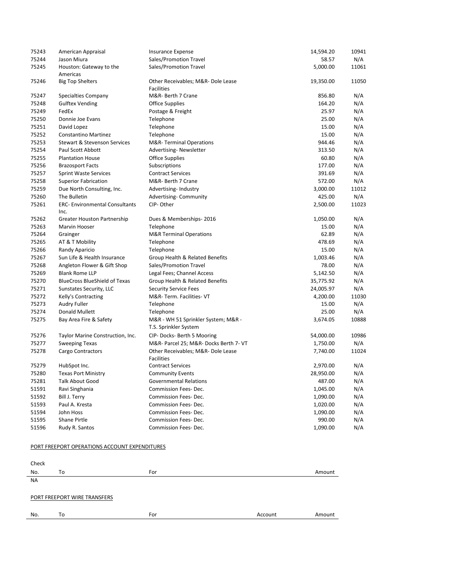| 75243 | American Appraisal                           | <b>Insurance Expense</b>                                     | 14,594.20 | 10941 |
|-------|----------------------------------------------|--------------------------------------------------------------|-----------|-------|
| 75244 | Jason Miura                                  | Sales/Promotion Travel                                       | 58.57     | N/A   |
| 75245 | Houston: Gateway to the<br>Americas          | Sales/Promotion Travel                                       | 5,000.00  | 11061 |
| 75246 | <b>Big Top Shelters</b>                      | Other Receivables; M&R- Dole Lease<br><b>Facilities</b>      | 19,350.00 | 11050 |
| 75247 | Specialties Company                          | M&R- Berth 7 Crane                                           | 856.80    | N/A   |
| 75248 | <b>Gulftex Vending</b>                       | <b>Office Supplies</b>                                       | 164.20    | N/A   |
| 75249 | FedEx                                        | Postage & Freight                                            | 25.97     | N/A   |
| 75250 | Donnie Joe Evans                             | Telephone                                                    | 25.00     | N/A   |
| 75251 | David Lopez                                  | Telephone                                                    | 15.00     | N/A   |
| 75252 | <b>Constantino Martinez</b>                  | Telephone                                                    | 15.00     | N/A   |
| 75253 | Stewart & Stevenson Services                 | <b>M&amp;R-Terminal Operations</b>                           | 944.46    | N/A   |
| 75254 | Paul Scott Abbott                            | <b>Advertising-Newsletter</b>                                | 313.50    | N/A   |
| 75255 | <b>Plantation House</b>                      | Office Supplies                                              | 60.80     | N/A   |
| 75256 | <b>Brazosport Facts</b>                      | Subscriptions                                                | 177.00    | N/A   |
| 75257 | <b>Sprint Waste Services</b>                 | <b>Contract Services</b>                                     | 391.69    | N/A   |
| 75258 | <b>Superior Fabrication</b>                  | M&R- Berth 7 Crane                                           | 572.00    | N/A   |
| 75259 | Due North Consulting, Inc.                   | Advertising-Industry                                         | 3,000.00  | 11012 |
| 75260 | The Bulletin                                 | Advertising- Community                                       | 425.00    | N/A   |
| 75261 | <b>ERC-Environmental Consultants</b><br>Inc. | CIP-Other                                                    | 2,500.00  | 11023 |
| 75262 | <b>Greater Houston Partnership</b>           | Dues & Memberships-2016                                      | 1,050.00  | N/A   |
| 75263 | Marvin Hooser                                | Telephone                                                    | 15.00     | N/A   |
| 75264 | Grainger                                     | <b>M&amp;R</b> Terminal Operations                           | 62.89     | N/A   |
| 75265 | AT & T Mobility                              | Telephone                                                    | 478.69    | N/A   |
| 75266 | Randy Aparicio                               | Telephone                                                    | 15.00     | N/A   |
| 75267 | Sun Life & Health Insurance                  | Group Health & Related Benefits                              | 1,003.46  | N/A   |
| 75268 | Angleton Flower & Gift Shop                  | Sales/Promotion Travel                                       | 78.00     | N/A   |
| 75269 | <b>Blank Rome LLP</b>                        | Legal Fees; Channel Access                                   | 5,142.50  | N/A   |
| 75270 | <b>BlueCross BlueShield of Texas</b>         | Group Health & Related Benefits                              | 35,775.92 | N/A   |
| 75271 | Sunstates Security, LLC                      | <b>Security Service Fees</b>                                 | 24,005.97 | N/A   |
| 75272 | Kelly's Contracting                          | M&R-Term. Facilities-VT                                      | 4,200.00  | 11030 |
| 75273 | Audry Fuller                                 | Telephone                                                    | 15.00     | N/A   |
| 75274 | Donald Mullett                               | Telephone                                                    | 25.00     | N/A   |
| 75275 | Bay Area Fire & Safety                       | M&R - WH 51 Sprinkler System; M&R -<br>T.S. Sprinkler System | 3,674.05  | 10888 |
| 75276 | Taylor Marine Construction, Inc.             | CIP-Docks-Berth 5 Mooring                                    | 54,000.00 | 10986 |
| 75277 | <b>Sweeping Texas</b>                        | M&R- Parcel 25; M&R- Docks Berth 7- VT                       | 1,750.00  | N/A   |
| 75278 | Cargo Contractors                            | Other Receivables; M&R- Dole Lease<br><b>Facilities</b>      | 7,740.00  | 11024 |
| 75279 | HubSpot Inc.                                 | <b>Contract Services</b>                                     | 2,970.00  | N/A   |
| 75280 | <b>Texas Port Ministry</b>                   | <b>Community Events</b>                                      | 28,950.00 | N/A   |
| 75281 | Talk About Good                              | <b>Governmental Relations</b>                                | 487.00    | N/A   |
| 51591 | Ravi Singhania                               | Commission Fees-Dec.                                         | 1,045.00  | N/A   |
| 51592 | Bill J. Terry                                | <b>Commission Fees-Dec.</b>                                  | 1,090.00  | N/A   |
| 51593 | Paul A. Kresta                               | Commission Fees-Dec.                                         | 1,020.00  | N/A   |
| 51594 | John Hoss                                    | Commission Fees-Dec.                                         | 1,090.00  | N/A   |
| 51595 | Shane Pirtle                                 | Commission Fees-Dec.                                         | 990.00    | N/A   |
| 51596 | Rudy R. Santos                               | Commission Fees-Dec.                                         | 1,090.00  | N/A   |

#### PORT FREEPORT OPERATIONS ACCOUNT EXPENDITURES

Check No. To the state of the Form of the Second Contract of the Amount of Amount of Amount of Amount of Amount of A

NA

#### PORT FREEPORT WIRE TRANSFERS

No. To **For Account Amount** Amount Amount Amount Amount Amount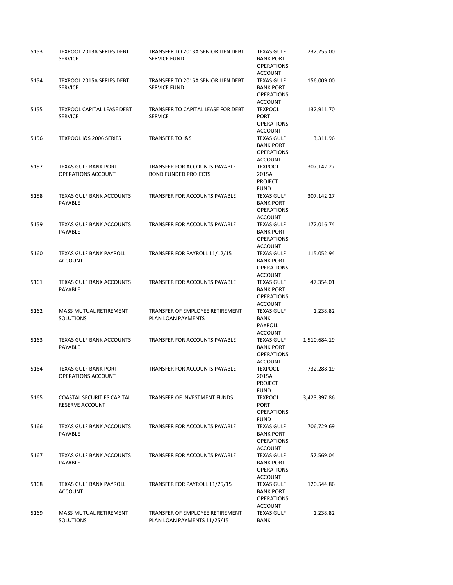| 5153 | TEXPOOL 2013A SERIES DEBT<br><b>SERVICE</b>          | TRANSFER TO 2013A SENIOR LIEN DEBT<br><b>SERVICE FUND</b>      | <b>TEXAS GULF</b><br><b>BANK PORT</b><br><b>OPERATIONS</b>                   | 232,255.00   |
|------|------------------------------------------------------|----------------------------------------------------------------|------------------------------------------------------------------------------|--------------|
| 5154 | <b>TEXPOOL 2015A SERIES DEBT</b><br><b>SERVICE</b>   | TRANSFER TO 2015A SENIOR LIEN DEBT<br><b>SERVICE FUND</b>      | <b>ACCOUNT</b><br><b>TEXAS GULF</b><br><b>BANK PORT</b><br><b>OPERATIONS</b> | 156,009.00   |
| 5155 | TEXPOOL CAPITAL LEASE DEBT<br><b>SERVICE</b>         | TRANSFER TO CAPITAL LEASE FOR DEBT<br><b>SERVICE</b>           | <b>ACCOUNT</b><br><b>TEXPOOL</b><br><b>PORT</b><br><b>OPERATIONS</b>         | 132,911.70   |
| 5156 | TEXPOOL I&S 2006 SERIES                              | <b>TRANSFER TO I&amp;S</b>                                     | <b>ACCOUNT</b><br><b>TEXAS GULF</b><br><b>BANK PORT</b><br><b>OPERATIONS</b> | 3,311.96     |
| 5157 | <b>TEXAS GULF BANK PORT</b><br>OPERATIONS ACCOUNT    | TRANSFER FOR ACCOUNTS PAYABLE-<br><b>BOND FUNDED PROJECTS</b>  | ACCOUNT<br><b>TEXPOOL</b><br>2015A<br><b>PROJECT</b>                         | 307,142.27   |
| 5158 | <b>TEXAS GULF BANK ACCOUNTS</b><br>PAYABLE           | TRANSFER FOR ACCOUNTS PAYABLE                                  | <b>FUND</b><br><b>TEXAS GULF</b><br><b>BANK PORT</b><br><b>OPERATIONS</b>    | 307,142.27   |
| 5159 | <b>TEXAS GULF BANK ACCOUNTS</b><br>PAYABLE           | TRANSFER FOR ACCOUNTS PAYABLE                                  | ACCOUNT<br><b>TEXAS GULF</b><br><b>BANK PORT</b><br><b>OPERATIONS</b>        | 172,016.74   |
| 5160 | <b>TEXAS GULF BANK PAYROLL</b><br><b>ACCOUNT</b>     | TRANSFER FOR PAYROLL 11/12/15                                  | ACCOUNT<br><b>TEXAS GULF</b><br><b>BANK PORT</b><br><b>OPERATIONS</b>        | 115,052.94   |
| 5161 | <b>TEXAS GULF BANK ACCOUNTS</b><br>PAYABLE           | TRANSFER FOR ACCOUNTS PAYABLE                                  | ACCOUNT<br><b>TEXAS GULF</b><br><b>BANK PORT</b><br><b>OPERATIONS</b>        | 47,354.01    |
| 5162 | <b>MASS MUTUAL RETIREMENT</b><br>SOLUTIONS           | TRANSFER OF EMPLOYEE RETIREMENT<br>PLAN LOAN PAYMENTS          | ACCOUNT<br><b>TEXAS GULF</b><br>BANK<br>PAYROLL                              | 1,238.82     |
| 5163 | <b>TEXAS GULF BANK ACCOUNTS</b><br>PAYABLE           | TRANSFER FOR ACCOUNTS PAYABLE                                  | <b>ACCOUNT</b><br><b>TEXAS GULF</b><br><b>BANK PORT</b><br><b>OPERATIONS</b> | 1,510,684.19 |
| 5164 | <b>TEXAS GULF BANK PORT</b><br>OPERATIONS ACCOUNT    | <b>TRANSFER FOR ACCOUNTS PAYABLE</b>                           | ACCOUNT<br>TEXPOOL -<br>2015A<br>PROJECT                                     | 732,288.19   |
| 5165 | <b>COASTAL SECURITIES CAPITAL</b><br>RESERVE ACCOUNT | TRANSFER OF INVESTMENT FUNDS                                   | <b>FUND</b><br><b>TEXPOOL</b><br>PORT<br><b>OPERATIONS</b>                   | 3,423,397.86 |
| 5166 | <b>TEXAS GULF BANK ACCOUNTS</b><br>PAYABLE           | TRANSFER FOR ACCOUNTS PAYABLE                                  | <b>FUND</b><br><b>TEXAS GULF</b><br><b>BANK PORT</b><br><b>OPERATIONS</b>    | 706,729.69   |
| 5167 | <b>TEXAS GULF BANK ACCOUNTS</b><br>PAYABLE           | <b>TRANSFER FOR ACCOUNTS PAYABLE</b>                           | <b>ACCOUNT</b><br><b>TEXAS GULF</b><br><b>BANK PORT</b><br><b>OPERATIONS</b> | 57,569.04    |
| 5168 | TEXAS GULF BANK PAYROLL<br><b>ACCOUNT</b>            | TRANSFER FOR PAYROLL 11/25/15                                  | <b>ACCOUNT</b><br><b>TEXAS GULF</b><br><b>BANK PORT</b><br><b>OPERATIONS</b> | 120,544.86   |
| 5169 | MASS MUTUAL RETIREMENT<br>SOLUTIONS                  | TRANSFER OF EMPLOYEE RETIREMENT<br>PLAN LOAN PAYMENTS 11/25/15 | ACCOUNT<br><b>TEXAS GULF</b><br>BANK                                         | 1,238.82     |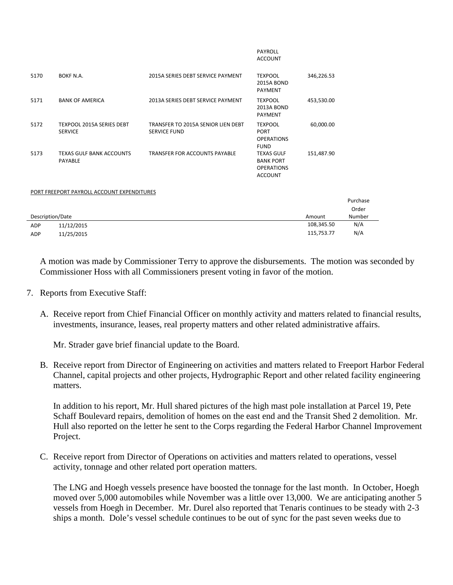|                                                    |                                                           | <b>PAYROLL</b><br><b>ACCOUNT</b>                                             |            |          |
|----------------------------------------------------|-----------------------------------------------------------|------------------------------------------------------------------------------|------------|----------|
| BOKF N.A.                                          | 2015A SERIES DEBT SERVICE PAYMENT                         | <b>TEXPOOL</b><br><b>2015A BOND</b><br><b>PAYMENT</b>                        | 346,226.53 |          |
| <b>BANK OF AMERICA</b>                             | 2013A SERIES DEBT SERVICE PAYMENT                         | <b>TEXPOOL</b><br><b>2013A BOND</b><br><b>PAYMENT</b>                        | 453,530.00 |          |
| <b>TEXPOOL 2015A SERIES DEBT</b><br><b>SERVICE</b> | TRANSFER TO 2015A SENIOR LIEN DEBT<br><b>SERVICE FUND</b> | <b>TEXPOOL</b><br><b>PORT</b><br><b>OPERATIONS</b><br><b>FUND</b>            | 60,000.00  |          |
| <b>TEXAS GULF BANK ACCOUNTS</b><br><b>PAYABLE</b>  | <b>TRANSFER FOR ACCOUNTS PAYABLE</b>                      | <b>TEXAS GULF</b><br><b>BANK PORT</b><br><b>OPERATIONS</b><br><b>ACCOUNT</b> | 151,487.90 |          |
|                                                    |                                                           |                                                                              |            |          |
|                                                    |                                                           |                                                                              |            | Purchase |
|                                                    |                                                           |                                                                              |            | Order    |
| Description/Date                                   |                                                           | Amount                                                                       | Number     |          |
| 11/12/2015                                         |                                                           |                                                                              | 108,345.50 | N/A      |
| 11/25/2015                                         |                                                           |                                                                              | 115,753.77 | N/A      |
|                                                    |                                                           | PORT FREEPORT PAYROLL ACCOUNT EXPENDITURES                                   |            |          |

A motion was made by Commissioner Terry to approve the disbursements. The motion was seconded by Commissioner Hoss with all Commissioners present voting in favor of the motion.

- 7. Reports from Executive Staff:
	- A. Receive report from Chief Financial Officer on monthly activity and matters related to financial results, investments, insurance, leases, real property matters and other related administrative affairs.

Mr. Strader gave brief financial update to the Board.

B. Receive report from Director of Engineering on activities and matters related to Freeport Harbor Federal Channel, capital projects and other projects, Hydrographic Report and other related facility engineering matters.

In addition to his report, Mr. Hull shared pictures of the high mast pole installation at Parcel 19, Pete Schaff Boulevard repairs, demolition of homes on the east end and the Transit Shed 2 demolition. Mr. Hull also reported on the letter he sent to the Corps regarding the Federal Harbor Channel Improvement Project.

C. Receive report from Director of Operations on activities and matters related to operations, vessel activity, tonnage and other related port operation matters.

The LNG and Hoegh vessels presence have boosted the tonnage for the last month. In October, Hoegh moved over 5,000 automobiles while November was a little over 13,000. We are anticipating another 5 vessels from Hoegh in December. Mr. Durel also reported that Tenaris continues to be steady with 2-3 ships a month. Dole's vessel schedule continues to be out of sync for the past seven weeks due to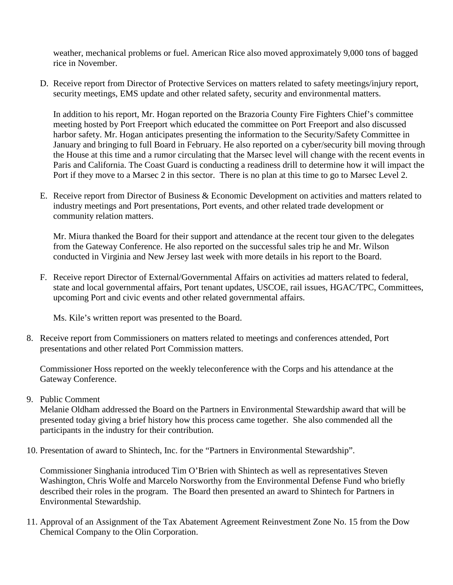weather, mechanical problems or fuel. American Rice also moved approximately 9,000 tons of bagged rice in November.

D. Receive report from Director of Protective Services on matters related to safety meetings/injury report, security meetings, EMS update and other related safety, security and environmental matters.

In addition to his report, Mr. Hogan reported on the Brazoria County Fire Fighters Chief's committee meeting hosted by Port Freeport which educated the committee on Port Freeport and also discussed harbor safety. Mr. Hogan anticipates presenting the information to the Security/Safety Committee in January and bringing to full Board in February. He also reported on a cyber/security bill moving through the House at this time and a rumor circulating that the Marsec level will change with the recent events in Paris and California. The Coast Guard is conducting a readiness drill to determine how it will impact the Port if they move to a Marsec 2 in this sector. There is no plan at this time to go to Marsec Level 2.

E. Receive report from Director of Business & Economic Development on activities and matters related to industry meetings and Port presentations, Port events, and other related trade development or community relation matters.

Mr. Miura thanked the Board for their support and attendance at the recent tour given to the delegates from the Gateway Conference. He also reported on the successful sales trip he and Mr. Wilson conducted in Virginia and New Jersey last week with more details in his report to the Board.

F. Receive report Director of External/Governmental Affairs on activities ad matters related to federal, state and local governmental affairs, Port tenant updates, USCOE, rail issues, HGAC/TPC, Committees, upcoming Port and civic events and other related governmental affairs.

Ms. Kile's written report was presented to the Board.

8. Receive report from Commissioners on matters related to meetings and conferences attended, Port presentations and other related Port Commission matters.

Commissioner Hoss reported on the weekly teleconference with the Corps and his attendance at the Gateway Conference.

9. Public Comment

Melanie Oldham addressed the Board on the Partners in Environmental Stewardship award that will be presented today giving a brief history how this process came together. She also commended all the participants in the industry for their contribution.

10. Presentation of award to Shintech, Inc. for the "Partners in Environmental Stewardship".

Commissioner Singhania introduced Tim O'Brien with Shintech as well as representatives Steven Washington, Chris Wolfe and Marcelo Norsworthy from the Environmental Defense Fund who briefly described their roles in the program. The Board then presented an award to Shintech for Partners in Environmental Stewardship.

11. Approval of an Assignment of the Tax Abatement Agreement Reinvestment Zone No. 15 from the Dow Chemical Company to the Olin Corporation.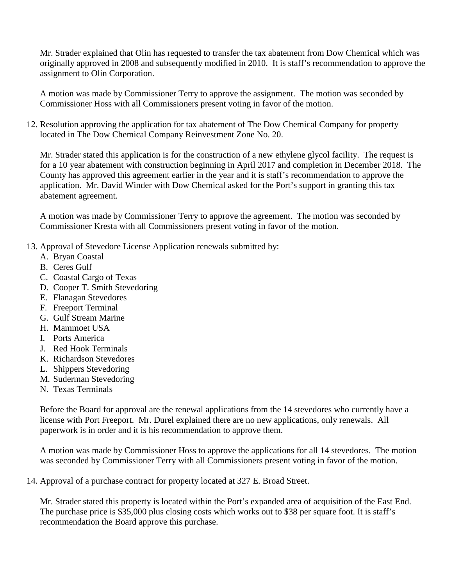Mr. Strader explained that Olin has requested to transfer the tax abatement from Dow Chemical which was originally approved in 2008 and subsequently modified in 2010. It is staff's recommendation to approve the assignment to Olin Corporation.

A motion was made by Commissioner Terry to approve the assignment. The motion was seconded by Commissioner Hoss with all Commissioners present voting in favor of the motion.

12. Resolution approving the application for tax abatement of The Dow Chemical Company for property located in The Dow Chemical Company Reinvestment Zone No. 20.

Mr. Strader stated this application is for the construction of a new ethylene glycol facility. The request is for a 10 year abatement with construction beginning in April 2017 and completion in December 2018. The County has approved this agreement earlier in the year and it is staff's recommendation to approve the application. Mr. David Winder with Dow Chemical asked for the Port's support in granting this tax abatement agreement.

A motion was made by Commissioner Terry to approve the agreement. The motion was seconded by Commissioner Kresta with all Commissioners present voting in favor of the motion.

- 13. Approval of Stevedore License Application renewals submitted by:
	- A. Bryan Coastal
	- B. Ceres Gulf
	- C. Coastal Cargo of Texas
	- D. Cooper T. Smith Stevedoring
	- E. Flanagan Stevedores
	- F. Freeport Terminal
	- G. Gulf Stream Marine
	- H. Mammoet USA
	- I. Ports America
	- J. Red Hook Terminals
	- K. Richardson Stevedores
	- L. Shippers Stevedoring
	- M. Suderman Stevedoring
	- N. Texas Terminals

Before the Board for approval are the renewal applications from the 14 stevedores who currently have a license with Port Freeport. Mr. Durel explained there are no new applications, only renewals. All paperwork is in order and it is his recommendation to approve them.

A motion was made by Commissioner Hoss to approve the applications for all 14 stevedores. The motion was seconded by Commissioner Terry with all Commissioners present voting in favor of the motion.

14. Approval of a purchase contract for property located at 327 E. Broad Street.

Mr. Strader stated this property is located within the Port's expanded area of acquisition of the East End. The purchase price is \$35,000 plus closing costs which works out to \$38 per square foot. It is staff's recommendation the Board approve this purchase.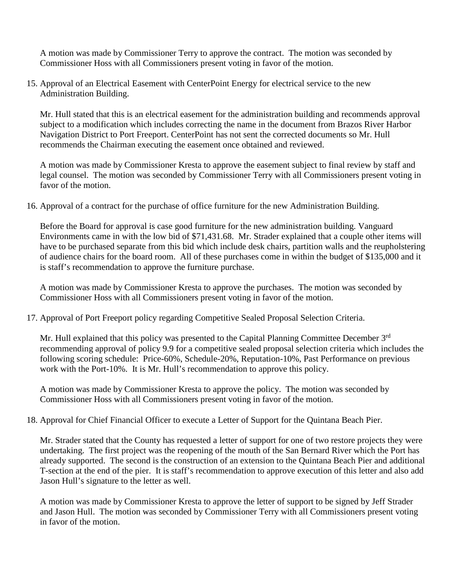A motion was made by Commissioner Terry to approve the contract. The motion was seconded by Commissioner Hoss with all Commissioners present voting in favor of the motion.

15. Approval of an Electrical Easement with CenterPoint Energy for electrical service to the new Administration Building.

Mr. Hull stated that this is an electrical easement for the administration building and recommends approval subject to a modification which includes correcting the name in the document from Brazos River Harbor Navigation District to Port Freeport. CenterPoint has not sent the corrected documents so Mr. Hull recommends the Chairman executing the easement once obtained and reviewed.

A motion was made by Commissioner Kresta to approve the easement subject to final review by staff and legal counsel. The motion was seconded by Commissioner Terry with all Commissioners present voting in favor of the motion.

16. Approval of a contract for the purchase of office furniture for the new Administration Building.

Before the Board for approval is case good furniture for the new administration building. Vanguard Environments came in with the low bid of \$71,431.68. Mr. Strader explained that a couple other items will have to be purchased separate from this bid which include desk chairs, partition walls and the reupholstering of audience chairs for the board room. All of these purchases come in within the budget of \$135,000 and it is staff's recommendation to approve the furniture purchase.

A motion was made by Commissioner Kresta to approve the purchases. The motion was seconded by Commissioner Hoss with all Commissioners present voting in favor of the motion.

17. Approval of Port Freeport policy regarding Competitive Sealed Proposal Selection Criteria.

Mr. Hull explained that this policy was presented to the Capital Planning Committee December 3<sup>rd</sup> recommending approval of policy 9.9 for a competitive sealed proposal selection criteria which includes the following scoring schedule: Price-60%, Schedule-20%, Reputation-10%, Past Performance on previous work with the Port-10%. It is Mr. Hull's recommendation to approve this policy.

A motion was made by Commissioner Kresta to approve the policy. The motion was seconded by Commissioner Hoss with all Commissioners present voting in favor of the motion.

18. Approval for Chief Financial Officer to execute a Letter of Support for the Quintana Beach Pier.

Mr. Strader stated that the County has requested a letter of support for one of two restore projects they were undertaking. The first project was the reopening of the mouth of the San Bernard River which the Port has already supported. The second is the construction of an extension to the Quintana Beach Pier and additional T-section at the end of the pier. It is staff's recommendation to approve execution of this letter and also add Jason Hull's signature to the letter as well.

A motion was made by Commissioner Kresta to approve the letter of support to be signed by Jeff Strader and Jason Hull. The motion was seconded by Commissioner Terry with all Commissioners present voting in favor of the motion.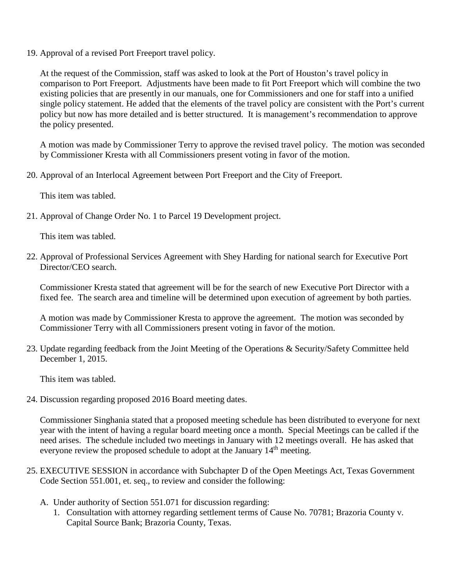19. Approval of a revised Port Freeport travel policy.

At the request of the Commission, staff was asked to look at the Port of Houston's travel policy in comparison to Port Freeport. Adjustments have been made to fit Port Freeport which will combine the two existing policies that are presently in our manuals, one for Commissioners and one for staff into a unified single policy statement. He added that the elements of the travel policy are consistent with the Port's current policy but now has more detailed and is better structured. It is management's recommendation to approve the policy presented.

A motion was made by Commissioner Terry to approve the revised travel policy. The motion was seconded by Commissioner Kresta with all Commissioners present voting in favor of the motion.

20. Approval of an Interlocal Agreement between Port Freeport and the City of Freeport.

This item was tabled.

21. Approval of Change Order No. 1 to Parcel 19 Development project.

This item was tabled.

22. Approval of Professional Services Agreement with Shey Harding for national search for Executive Port Director/CEO search.

Commissioner Kresta stated that agreement will be for the search of new Executive Port Director with a fixed fee. The search area and timeline will be determined upon execution of agreement by both parties.

A motion was made by Commissioner Kresta to approve the agreement. The motion was seconded by Commissioner Terry with all Commissioners present voting in favor of the motion.

23. Update regarding feedback from the Joint Meeting of the Operations & Security/Safety Committee held December 1, 2015.

This item was tabled.

24. Discussion regarding proposed 2016 Board meeting dates.

Commissioner Singhania stated that a proposed meeting schedule has been distributed to everyone for next year with the intent of having a regular board meeting once a month. Special Meetings can be called if the need arises. The schedule included two meetings in January with 12 meetings overall. He has asked that everyone review the proposed schedule to adopt at the January 14<sup>th</sup> meeting.

- 25. EXECUTIVE SESSION in accordance with Subchapter D of the Open Meetings Act, Texas Government Code Section 551.001, et. seq., to review and consider the following:
	- A. Under authority of Section 551.071 for discussion regarding:
		- 1. Consultation with attorney regarding settlement terms of Cause No. 70781; Brazoria County v. Capital Source Bank; Brazoria County, Texas.